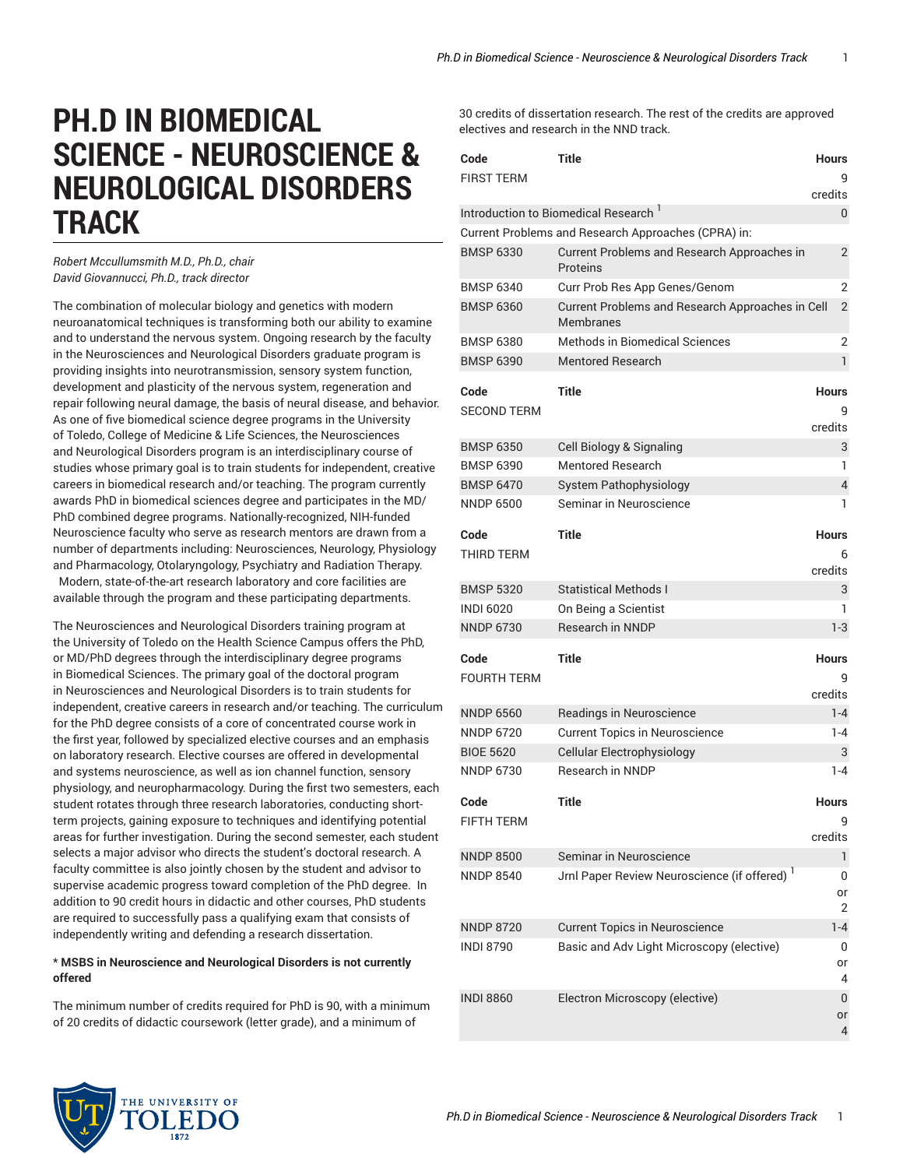## **PH.D IN BIOMEDICAL SCIENCE - NEUROSCIENCE & NEUROLOGICAL DISORDERS TRACK**

*Robert Mccullumsmith M.D., Ph.D., chair David Giovannucci, Ph.D., track director*

The combination of molecular biology and genetics with modern neuroanatomical techniques is transforming both our ability to examine and to understand the nervous system. Ongoing research by the faculty in the Neurosciences and Neurological Disorders graduate program is providing insights into neurotransmission, sensory system function, development and plasticity of the nervous system, regeneration and repair following neural damage, the basis of neural disease, and behavior. As one of five biomedical science degree programs in the University of Toledo, College of Medicine & Life Sciences, the Neurosciences and Neurological Disorders program is an interdisciplinary course of studies whose primary goal is to train students for independent, creative careers in biomedical research and/or teaching. The program currently awards PhD in biomedical sciences degree and participates in the MD/ PhD combined degree programs. Nationally-recognized, NIH-funded Neuroscience faculty who serve as research mentors are drawn from a number of departments including: Neurosciences, Neurology, Physiology and Pharmacology, Otolaryngology, Psychiatry and Radiation Therapy. Modern, state-of-the-art research laboratory and core facilities are available through the program and these participating departments.

The Neurosciences and Neurological Disorders training program at the University of Toledo on the Health Science Campus offers the PhD, or MD/PhD degrees through the interdisciplinary degree programs in Biomedical Sciences. The primary goal of the doctoral program in Neurosciences and Neurological Disorders is to train students for independent, creative careers in research and/or teaching. The curriculum for the PhD degree consists of a core of concentrated course work in the first year, followed by specialized elective courses and an emphasis on laboratory research. Elective courses are offered in developmental and systems neuroscience, as well as ion channel function, sensory physiology, and neuropharmacology. During the first two semesters, each student rotates through three research laboratories, conducting shortterm projects, gaining exposure to techniques and identifying potential areas for further investigation. During the second semester, each student selects a major advisor who directs the student's doctoral research. A faculty committee is also jointly chosen by the student and advisor to supervise academic progress toward completion of the PhD degree. In addition to 90 credit hours in didactic and other courses, PhD students are required to successfully pass a qualifying exam that consists of independently writing and defending a research dissertation.

## \* **MSBS in Neuroscience and Neurological Disorders is not currently offered**

The minimum number of credits required for PhD is 90, with a minimum of 20 credits of didactic coursework (letter grade), and a minimum of

30 credits of dissertation research. The rest of the credits are approved electives and research in the NND track.

| Code                                 | Title                                                                              | <b>Hours</b>      |
|--------------------------------------|------------------------------------------------------------------------------------|-------------------|
| <b>FIRST TERM</b>                    |                                                                                    | g                 |
|                                      |                                                                                    | credits           |
|                                      | Introduction to Biomedical Research <sup>1</sup>                                   | 0                 |
|                                      | Current Problems and Research Approaches (CPRA) in:                                |                   |
| <b>BMSP 6330</b>                     | Current Problems and Research Approaches in<br>Proteins                            | 2                 |
| <b>BMSP 6340</b>                     | Curr Prob Res App Genes/Genom                                                      | $\overline{2}$    |
| <b>BMSP 6360</b>                     | Current Problems and Research Approaches in Cell<br><b>Membranes</b>               | $\overline{2}$    |
| <b>BMSP 6380</b>                     | Methods in Biomedical Sciences                                                     | 2                 |
| <b>BMSP 6390</b>                     | <b>Mentored Research</b>                                                           | 1                 |
|                                      |                                                                                    |                   |
| Code<br>SECOND TERM                  | Title                                                                              | <b>Hours</b><br>9 |
|                                      |                                                                                    | credits           |
| <b>BMSP 6350</b>                     | Cell Biology & Signaling                                                           | 3                 |
| <b>BMSP 6390</b>                     | Mentored Research                                                                  | 1                 |
| <b>BMSP 6470</b>                     | <b>System Pathophysiology</b>                                                      | 4                 |
| <b>NNDP 6500</b>                     | Seminar in Neuroscience                                                            | 1                 |
|                                      |                                                                                    |                   |
| Code                                 | Title                                                                              | <b>Hours</b>      |
| THIRD TERM                           |                                                                                    | 6                 |
| <b>BMSP 5320</b>                     | <b>Statistical Methods I</b>                                                       | credits<br>3      |
| <b>INDI 6020</b>                     | On Being a Scientist                                                               | 1                 |
| <b>NNDP 6730</b>                     | Research in NNDP                                                                   | 1-3               |
|                                      |                                                                                    |                   |
| Code                                 | <b>Title</b>                                                                       | <b>Hours</b>      |
| FOURTH TERM                          |                                                                                    | 9                 |
|                                      |                                                                                    | credits           |
| <b>NNDP 6560</b>                     | Readings in Neuroscience                                                           | $1 - 4$           |
| <b>NNDP 6720</b>                     | <b>Current Topics in Neuroscience</b>                                              | $1 - 4$           |
| <b>BIOE 5620</b>                     | Cellular Electrophysiology                                                         | 3                 |
| <b>NNDP 6730</b>                     | <b>Research in NNDP</b>                                                            | $1 - 4$           |
| Code                                 | Title                                                                              | <b>Hours</b>      |
| <b>FIFTH TERM</b>                    |                                                                                    | 9                 |
|                                      |                                                                                    | credits           |
| <b>NNDP 8500</b>                     | Seminar in Neuroscience                                                            | 1                 |
| <b>NNDP 8540</b>                     | Jrnl Paper Review Neuroscience (if offered) <sup>1</sup>                           | 0                 |
|                                      |                                                                                    | or                |
|                                      |                                                                                    | 2<br>$1 - 4$      |
| <b>NNDP 8720</b><br><b>INDI 8790</b> | <b>Current Topics in Neuroscience</b><br>Basic and Adv Light Microscopy (elective) | 0                 |
|                                      |                                                                                    | or                |
|                                      |                                                                                    | 4                 |
| <b>INDI 8860</b>                     | Electron Microscopy (elective)                                                     | 0                 |
|                                      |                                                                                    | or                |
|                                      |                                                                                    | 4                 |

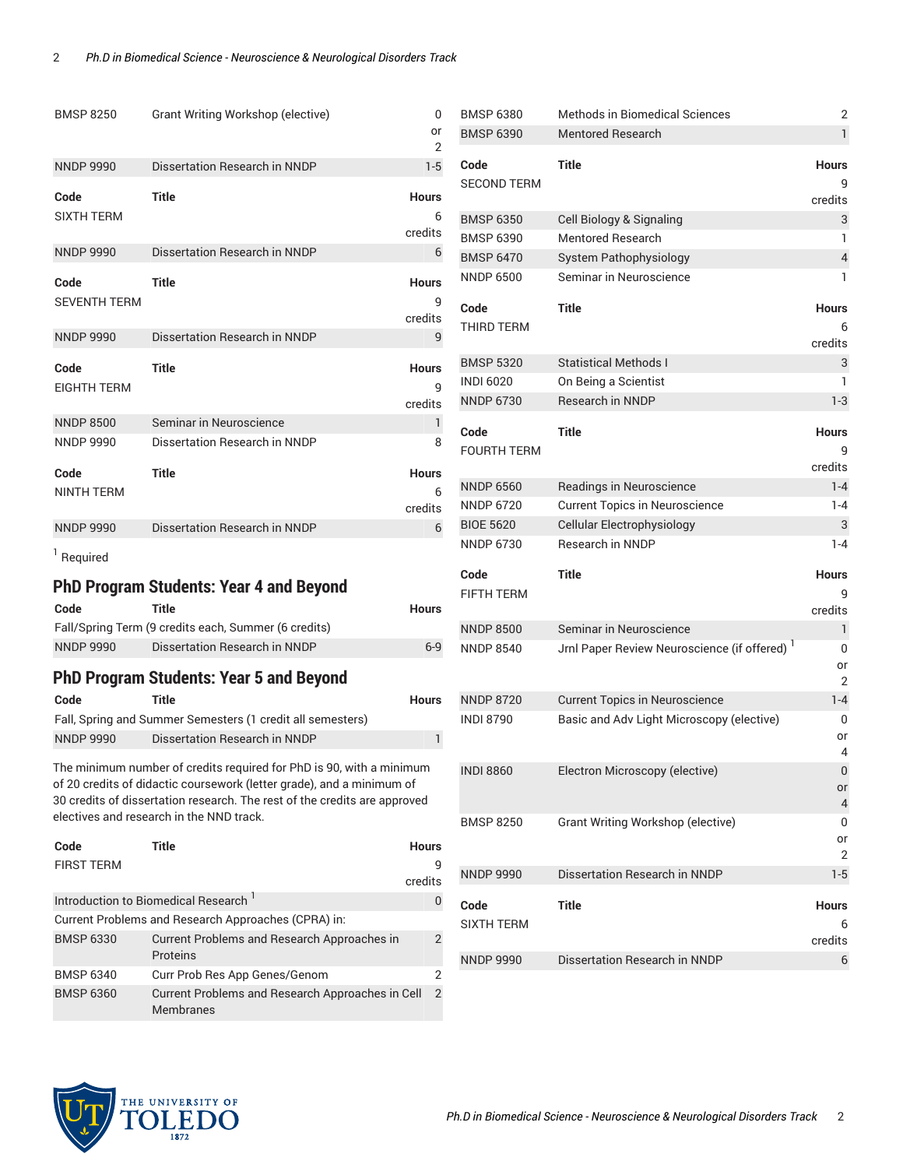| <b>BMSP 8250</b>            | Grant Writing Workshop (elective)                                                                                                                                                                                                                                      | 0<br>or<br>2                 |
|-----------------------------|------------------------------------------------------------------------------------------------------------------------------------------------------------------------------------------------------------------------------------------------------------------------|------------------------------|
| <b>NNDP 9990</b>            | Dissertation Research in NNDP                                                                                                                                                                                                                                          | $1-5$                        |
| Code<br><b>SIXTH TERM</b>   | <b>Title</b>                                                                                                                                                                                                                                                           | <b>Hours</b><br>6<br>credits |
| <b>NNDP 9990</b>            | Dissertation Research in NNDP                                                                                                                                                                                                                                          | 6                            |
| Code<br><b>SEVENTH TERM</b> | <b>Title</b>                                                                                                                                                                                                                                                           | <b>Hours</b><br>q<br>credits |
| <b>NNDP 9990</b>            | Dissertation Research in NNDP                                                                                                                                                                                                                                          | 9                            |
| Code<br><b>EIGHTH TERM</b>  | <b>Title</b>                                                                                                                                                                                                                                                           | <b>Hours</b><br>q<br>credits |
| <b>NNDP 8500</b>            | Seminar in Neuroscience                                                                                                                                                                                                                                                | 1                            |
| <b>NNDP 9990</b>            | Dissertation Research in NNDP                                                                                                                                                                                                                                          | 8                            |
| Code                        | <b>Title</b>                                                                                                                                                                                                                                                           | <b>Hours</b>                 |
| <b>NINTH TERM</b>           |                                                                                                                                                                                                                                                                        | 6<br>credits                 |
| <b>NNDP 9990</b>            | Dissertation Research in NNDP                                                                                                                                                                                                                                          | 6                            |
| <sup>1</sup> Required       |                                                                                                                                                                                                                                                                        |                              |
|                             | <b>PhD Program Students: Year 4 and Beyond</b>                                                                                                                                                                                                                         |                              |
| Code                        | Title                                                                                                                                                                                                                                                                  | <b>Hours</b>                 |
|                             | Fall/Spring Term (9 credits each, Summer (6 credits)                                                                                                                                                                                                                   |                              |
| <b>NNDP 9990</b>            | Dissertation Research in NNDP                                                                                                                                                                                                                                          | $6-9$                        |
|                             | <b>PhD Program Students: Year 5 and Beyond</b>                                                                                                                                                                                                                         |                              |
| Code                        | <b>Title</b>                                                                                                                                                                                                                                                           | <b>Hours</b>                 |
|                             | Fall, Spring and Summer Semesters (1 credit all semesters)                                                                                                                                                                                                             |                              |
| <b>NNDP 9990</b>            | Dissertation Research in NNDP                                                                                                                                                                                                                                          | 1                            |
|                             | The minimum number of credits required for PhD is 90, with a minimum<br>of 20 credits of didactic coursework (letter grade), and a minimum of<br>30 credits of dissertation research. The rest of the credits are approved<br>electives and research in the NND track. |                              |
| Code<br><b>FIRST TERM</b>   | <b>Title</b>                                                                                                                                                                                                                                                           | Hours                        |
|                             |                                                                                                                                                                                                                                                                        | credits                      |
|                             | Introduction to Biomedical Research <sup>1</sup>                                                                                                                                                                                                                       | 0                            |
|                             | Current Problems and Research Approaches (CPRA) in:                                                                                                                                                                                                                    |                              |
| <b>BMSP 6330</b>            | Current Problems and Research Approaches in<br>Proteins                                                                                                                                                                                                                | 2                            |
| <b>BMSP 6340</b>            | Curr Prob Res App Genes/Genom                                                                                                                                                                                                                                          | 2                            |
| <b>BMSP 6360</b>            | Current Problems and Research Approaches in Cell<br>Membranes                                                                                                                                                                                                          | $\overline{2}$               |

| <b>BMSP 6380</b>   | Methods in Biomedical Sciences                           | 2              |
|--------------------|----------------------------------------------------------|----------------|
| <b>BMSP 6390</b>   | <b>Mentored Research</b>                                 | 1              |
| Code               | <b>Title</b>                                             | <b>Hours</b>   |
| <b>SECOND TERM</b> |                                                          | 9              |
|                    |                                                          | credits        |
| <b>BMSP 6350</b>   | Cell Biology & Signaling                                 | 3              |
| <b>BMSP 6390</b>   | Mentored Research                                        | 1              |
| <b>BMSP 6470</b>   | <b>System Pathophysiology</b>                            | $\overline{4}$ |
| <b>NNDP 6500</b>   | Seminar in Neuroscience                                  | 1              |
|                    |                                                          |                |
| Code               | <b>Title</b>                                             | <b>Hours</b>   |
| <b>THIRD TERM</b>  |                                                          | 6<br>credits   |
| <b>BMSP 5320</b>   | <b>Statistical Methods I</b>                             | 3              |
| <b>INDI 6020</b>   | On Being a Scientist                                     | 1              |
| <b>NNDP 6730</b>   | Research in NNDP                                         | $1-3$          |
|                    |                                                          |                |
| Code               | <b>Title</b>                                             | <b>Hours</b>   |
| <b>FOURTH TERM</b> |                                                          | 9              |
|                    |                                                          | credits        |
| <b>NNDP 6560</b>   | Readings in Neuroscience                                 | $1 - 4$        |
| <b>NNDP 6720</b>   | <b>Current Topics in Neuroscience</b>                    | $1 - 4$        |
| <b>BIOE 5620</b>   | Cellular Electrophysiology                               | 3              |
| <b>NNDP 6730</b>   | Research in NNDP                                         | $1 - 4$        |
| Code               | <b>Title</b>                                             | <b>Hours</b>   |
| <b>FIFTH TERM</b>  |                                                          | g              |
|                    |                                                          | credits        |
| <b>NNDP 8500</b>   | Seminar in Neuroscience                                  | 1              |
| <b>NNDP 8540</b>   | Jrnl Paper Review Neuroscience (if offered) <sup>1</sup> | 0              |
|                    |                                                          | or<br>2        |
| <b>NNDP 8720</b>   | <b>Current Topics in Neuroscience</b>                    | $1 - 4$        |
| <b>INDI 8790</b>   |                                                          |                |
|                    |                                                          |                |
|                    | Basic and Adv Light Microscopy (elective)                | 0<br>or        |
|                    |                                                          | 4              |
| <b>INDI 8860</b>   | Electron Microscopy (elective)                           | 0              |
|                    |                                                          | or             |
|                    |                                                          | 4              |
| <b>BMSP 8250</b>   | Grant Writing Workshop (elective)                        | 0              |
|                    |                                                          | or<br>2        |
| <b>NNDP 9990</b>   | Dissertation Research in NNDP                            | $1-5$          |
|                    |                                                          |                |
| Code               | <b>Title</b>                                             | <b>Hours</b>   |
| <b>SIXTH TERM</b>  |                                                          | 6              |
| <b>NNDP 9990</b>   | Dissertation Research in NNDP                            | credits<br>6   |